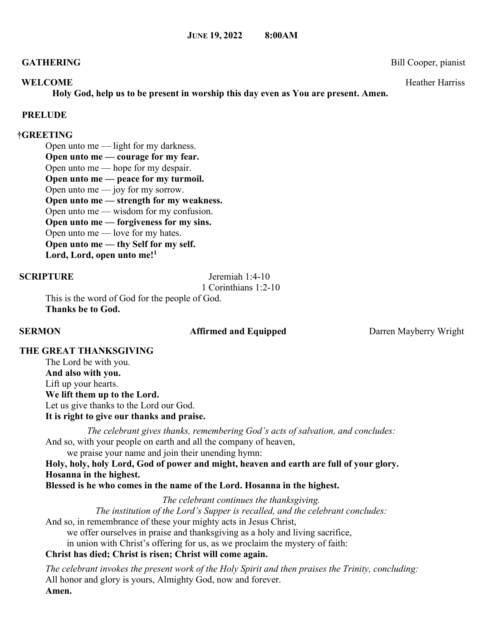## **GATHERING** Bill Cooper, pianist

### **WELCOME** Heather Harriss **Heather Harriss**

**Holy God, help us to be present in worship this day even as You are present. Amen.**

## **PRELUDE**

## **†GREETING**

Open unto me — light for my darkness. **Open unto me — courage for my fear.** Open unto me — hope for my despair. **Open unto me — peace for my turmoil.** Open unto me  $-$  joy for my sorrow. **Open unto me — strength for my weakness.** Open unto me — wisdom for my confusion. **Open unto me — forgiveness for my sins.** Open unto me — love for my hates. **Open unto me — thy Self for my self.**

**Lord, Lord, open unto me!<sup>1</sup>**

**SCRIPTURE** Jeremiah 1:4-10

1 Corinthians 1:2-10

This is the word of God for the people of God. **Thanks be to God.** 

## **SERMON Affirmed and Equipped Darren Mayberry Wright**

## **THE GREAT THANKSGIVING**

The Lord be with you. **And also with you.** Lift up your hearts. **We lift them up to the Lord.** Let us give thanks to the Lord our God. **It is right to give our thanks and praise.**

*The celebrant gives thanks, remembering God's acts of salvation, and concludes:* And so, with your people on earth and all the company of heaven,

we praise your name and join their unending hymn:

**Holy, holy, holy Lord, God of power and might, heaven and earth are full of your glory. Hosanna in the highest.**

**Blessed is he who comes in the name of the Lord. Hosanna in the highest.**

*The celebrant continues the thanksgiving.*

*The institution of the Lord's Supper is recalled, and the celebrant concludes:*  And so, in remembrance of these your mighty acts in Jesus Christ,

we offer ourselves in praise and thanksgiving as a holy and living sacrifice,

in union with Christ's offering for us, as we proclaim the mystery of faith:

# **Christ has died; Christ is risen; Christ will come again.**

*The celebrant invokes the present work of the Holy Spirit and then praises the Trinity, concluding:* All honor and glory is yours, Almighty God, now and forever. **Amen.**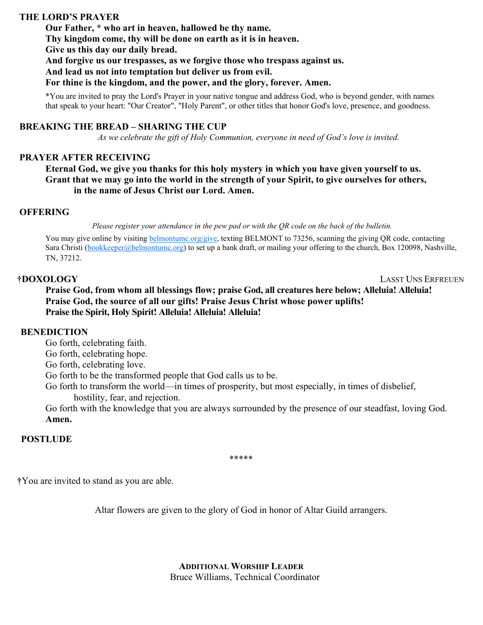## **THE LORD'S PRAYER**

**Our Father, \* who art in heaven, hallowed be thy name. Thy kingdom come, thy will be done on earth as it is in heaven. Give us this day our daily bread. And forgive us our trespasses, as we forgive those who trespass against us. And lead us not into temptation but deliver us from evil. For thine is the kingdom, and the power, and the glory, forever. Amen.**

\*You are invited to pray the Lord's Prayer in your native tongue and address God, who is beyond gender, with names that speak to your heart: "Our Creator", "Holy Parent", or other titles that honor God's love, presence, and goodness.

## **BREAKING THE BREAD – SHARING THE CUP**

 *As we celebrate the gift of Holy Communion, everyone in need of God's love is invited.* 

### **PRAYER AFTER RECEIVING**

 **Eternal God, we give you thanks for this holy mystery in which you have given yourself to us. Grant that we may go into the world in the strength of your Spirit, to give ourselves for others, in the name of Jesus Christ our Lord. Amen.** 

### **OFFERING**

Please register your attendance in the pew pad or with the QR code on the back of the bulletin.

You may give online by visiting [belmontumc.org/give,](http://belmontumc.org/give) texting BELMONT to 73256, scanning the giving QR code, contacting Sara Christi [\(bookkeeper@belmontumc.org\)](mailto:bookkeeper@belmontumc.org) to set up a bank draft, or mailing your offering to the church, Box 120098, Nashville, TN, 37212.

**†DOXOLOGY** LASST UNS ERFREUEN

**Praise God, from whom all blessings flow; praise God, all creatures here below; Alleluia! Alleluia! Praise God, the source of all our gifts! Praise Jesus Christ whose power uplifts! Praise the Spirit, Holy Spirit! Alleluia! Alleluia! Alleluia!**

### **BENEDICTION**

Go forth, celebrating faith.

Go forth, celebrating hope.

Go forth, celebrating love.

Go forth to be the transformed people that God calls us to be.

Go forth to transform the world—in times of prosperity, but most especially, in times of disbelief, hostility, fear, and rejection.

Go forth with the knowledge that you are always surrounded by the presence of our steadfast, loving God. **Amen.**

## **POSTLUDE**

\*\*\*\*\*

**†**You are invited to stand as you are able.

Altar flowers are given to the glory of God in honor of Altar Guild arrangers.

**ADDITIONAL WORSHIP LEADER** Bruce Williams, Technical Coordinator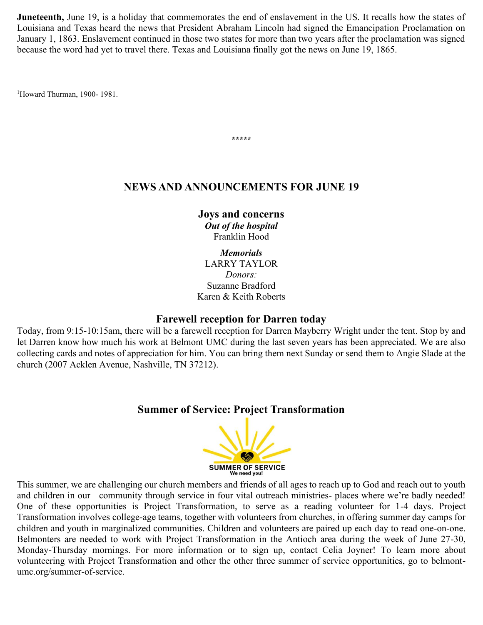**Juneteenth,** June 19, is a holiday that commemorates the end of enslavement in the US. It recalls how the states of Louisiana and Texas heard the news that President Abraham Lincoln had signed the Emancipation Proclamation on January 1, 1863. Enslavement continued in those two states for more than two years after the proclamation was signed because the word had yet to travel there. Texas and Louisiana finally got the news on June 19, 1865.

<sup>1</sup>Howard Thurman, 1900- 1981.

# **NEWS AND ANNOUNCEMENTS FOR JUNE 19**

**\*\*\*\*\***

**Joys and concerns**  *Out of the hospital*  Franklin Hood

*Memorials*  LARRY TAYLOR *Donors:*  Suzanne Bradford Karen & Keith Roberts

# **Farewell reception for Darren today**

Today, from 9:15-10:15am, there will be a farewell reception for Darren Mayberry Wright under the tent. Stop by and let Darren know how much his work at Belmont UMC during the last seven years has been appreciated. We are also collecting cards and notes of appreciation for him. You can bring them next Sunday or send them to Angie Slade at the church (2007 Acklen Avenue, Nashville, TN 37212).

# **Summer of Service: Project Transformation**



This summer, we are challenging our church members and friends of all ages to reach up to God and reach out to youth and children in our community through service in four vital outreach ministries- places where we're badly needed! One of these opportunities is Project Transformation, to serve as a reading volunteer for 1-4 days. Project Transformation involves college-age teams, together with volunteers from churches, in offering summer day camps for children and youth in marginalized communities. Children and volunteers are paired up each day to read one-on-one. Belmonters are needed to work with Project Transformation in the Antioch area during the week of June 27-30, Monday-Thursday mornings. For more information or to sign up, contact Celia Joyner! To learn more about volunteering with Project Transformation and other the other three summer of service opportunities, go to belmontumc.org/summer-of-service.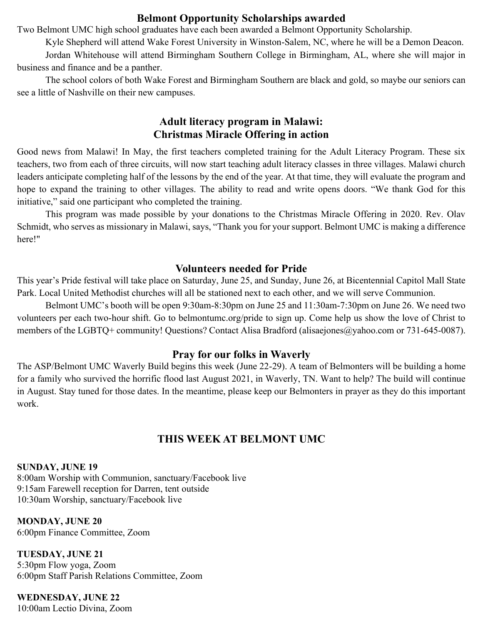# **Belmont Opportunity Scholarships awarded**

Two Belmont UMC high school graduates have each been awarded a Belmont Opportunity Scholarship.

Kyle Shepherd will attend Wake Forest University in Winston-Salem, NC, where he will be a Demon Deacon. Jordan Whitehouse will attend Birmingham Southern College in Birmingham, AL, where she will major in business and finance and be a panther.

The school colors of both Wake Forest and Birmingham Southern are black and gold, so maybe our seniors can see a little of Nashville on their new campuses.

# **Adult literacy program in Malawi: Christmas Miracle Offering in action**

Good news from Malawi! In May, the first teachers completed training for the Adult Literacy Program. These six teachers, two from each of three circuits, will now start teaching adult literacy classes in three villages. Malawi church leaders anticipate completing half of the lessons by the end of the year. At that time, they will evaluate the program and hope to expand the training to other villages. The ability to read and write opens doors. "We thank God for this initiative," said one participant who completed the training.

This program was made possible by your donations to the Christmas Miracle Offering in 2020. Rev. Olav Schmidt, who serves as missionary in Malawi, says, "Thank you for your support. Belmont UMC is making a difference here!"

# **Volunteers needed for Pride**

This year's Pride festival will take place on Saturday, June 25, and Sunday, June 26, at Bicentennial Capitol Mall State Park. Local United Methodist churches will all be stationed next to each other, and we will serve Communion.

Belmont UMC's booth will be open 9:30am-8:30pm on June 25 and 11:30am-7:30pm on June 26. We need two volunteers per each two-hour shift. Go to belmontumc.org/pride to sign up. Come help us show the love of Christ to members of the LGBTQ+ community! Questions? Contact Alisa Bradford (alisaejones@yahoo.com or 731-645-0087).

# **Pray for our folks in Waverly**

The ASP/Belmont UMC Waverly Build begins this week (June 22-29). A team of Belmonters will be building a home for a family who survived the horrific flood last August 2021, in Waverly, TN. Want to help? The build will continue in August. Stay tuned for those dates. In the meantime, please keep our Belmonters in prayer as they do this important work.

# **THIS WEEK AT BELMONT UMC**

# **SUNDAY, JUNE 19**

8:00am Worship with Communion, sanctuary/Facebook live 9:15am Farewell reception for Darren, tent outside 10:30am Worship, sanctuary/Facebook live

**MONDAY, JUNE 20**  6:00pm Finance Committee, Zoom

**TUESDAY, JUNE 21**  5:30pm Flow yoga, Zoom 6:00pm Staff Parish Relations Committee, Zoom

**WEDNESDAY, JUNE 22**  10:00am Lectio Divina, Zoom